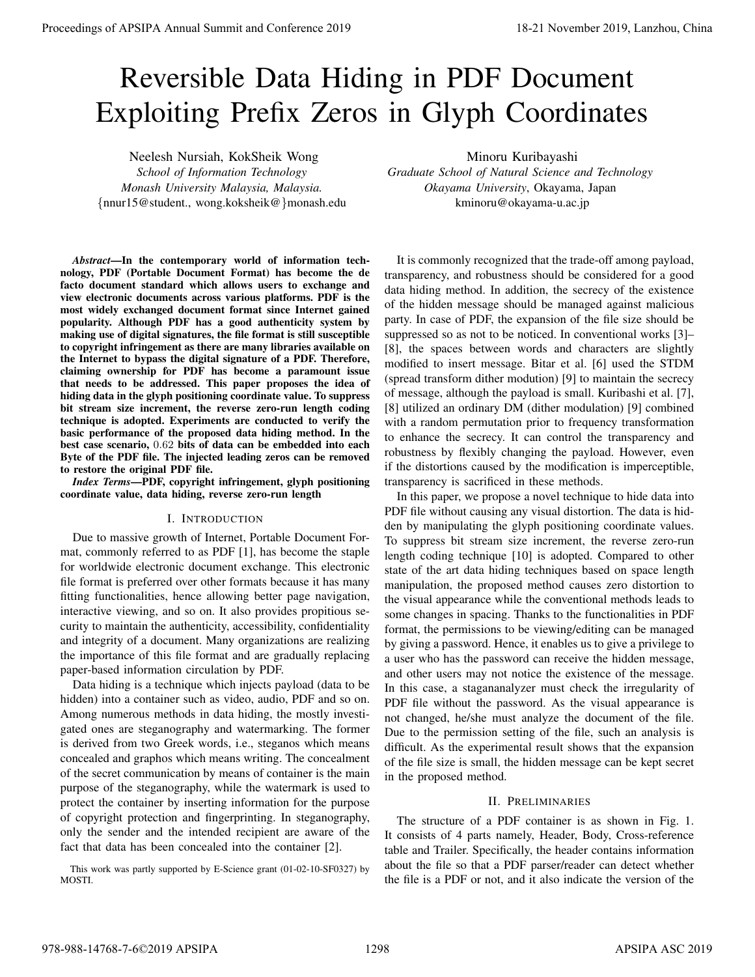# Reversible Data Hiding in PDF Document Exploiting Prefix Zeros in Glyph Coordinates

Neelesh Nursiah, KokSheik Wong *School of Information Technology Monash University Malaysia, Malaysia.* {nnur15@student., wong.koksheik@}monash.edu

*Abstract*—In the contemporary world of information technology, PDF (Portable Document Format) has become the de facto document standard which allows users to exchange and view electronic documents across various platforms. PDF is the most widely exchanged document format since Internet gained popularity. Although PDF has a good authenticity system by making use of digital signatures, the file format is still susceptible to copyright infringement as there are many libraries available on the Internet to bypass the digital signature of a PDF. Therefore, claiming ownership for PDF has become a paramount issue that needs to be addressed. This paper proposes the idea of hiding data in the glyph positioning coordinate value. To suppress bit stream size increment, the reverse zero-run length coding technique is adopted. Experiments are conducted to verify the basic performance of the proposed data hiding method. In the best case scenario, 0.62 bits of data can be embedded into each Byte of the PDF file. The injected leading zeros can be removed to restore the original PDF file.

*Index Terms*—PDF, copyright infringement, glyph positioning coordinate value, data hiding, reverse zero-run length

### I. INTRODUCTION

Due to massive growth of Internet, Portable Document Format, commonly referred to as PDF [1], has become the staple for worldwide electronic document exchange. This electronic file format is preferred over other formats because it has many fitting functionalities, hence allowing better page navigation, interactive viewing, and so on. It also provides propitious security to maintain the authenticity, accessibility, confidentiality and integrity of a document. Many organizations are realizing the importance of this file format and are gradually replacing paper-based information circulation by PDF.

Data hiding is a technique which injects payload (data to be hidden) into a container such as video, audio, PDF and so on. Among numerous methods in data hiding, the mostly investigated ones are steganography and watermarking. The former is derived from two Greek words, i.e., steganos which means concealed and graphos which means writing. The concealment of the secret communication by means of container is the main purpose of the steganography, while the watermark is used to protect the container by inserting information for the purpose of copyright protection and fingerprinting. In steganography, only the sender and the intended recipient are aware of the fact that data has been concealed into the container [2].

This work was partly supported by E-Science grant (01-02-10-SF0327) by **MOSTI** 

Minoru Kuribayashi

*Graduate School of Natural Science and Technology Okayama University*, Okayama, Japan kminoru@okayama-u.ac.jp

It is commonly recognized that the trade-off among payload, transparency, and robustness should be considered for a good data hiding method. In addition, the secrecy of the existence of the hidden message should be managed against malicious party. In case of PDF, the expansion of the file size should be suppressed so as not to be noticed. In conventional works [3]– [8], the spaces between words and characters are slightly modified to insert message. Bitar et al. [6] used the STDM (spread transform dither modution) [9] to maintain the secrecy of message, although the payload is small. Kuribashi et al. [7], [8] utilized an ordinary DM (dither modulation) [9] combined with a random permutation prior to frequency transformation to enhance the secrecy. It can control the transparency and robustness by flexibly changing the payload. However, even if the distortions caused by the modification is imperceptible, transparency is sacrificed in these methods.

In this paper, we propose a novel technique to hide data into PDF file without causing any visual distortion. The data is hidden by manipulating the glyph positioning coordinate values. To suppress bit stream size increment, the reverse zero-run length coding technique [10] is adopted. Compared to other state of the art data hiding techniques based on space length manipulation, the proposed method causes zero distortion to the visual appearance while the conventional methods leads to some changes in spacing. Thanks to the functionalities in PDF format, the permissions to be viewing/editing can be managed by giving a password. Hence, it enables us to give a privilege to a user who has the password can receive the hidden message, and other users may not notice the existence of the message. In this case, a stagananalyzer must check the irregularity of PDF file without the password. As the visual appearance is not changed, he/she must analyze the document of the file. Due to the permission setting of the file, such an analysis is difficult. As the experimental result shows that the expansion of the file size is small, the hidden message can be kept secret in the proposed method. Proceedings of APSIPA annual Summat in the set of APSIPA AND TRIP COOLEMNITIES Second National Summat and Conference 2019 and Conference 2019 and Conference 2019 and Conference 2019 and Conference 2019 and Conference 2019

# II. PRELIMINARIES

The structure of a PDF container is as shown in Fig. 1. It consists of 4 parts namely, Header, Body, Cross-reference table and Trailer. Specifically, the header contains information about the file so that a PDF parser/reader can detect whether the file is a PDF or not, and it also indicate the version of the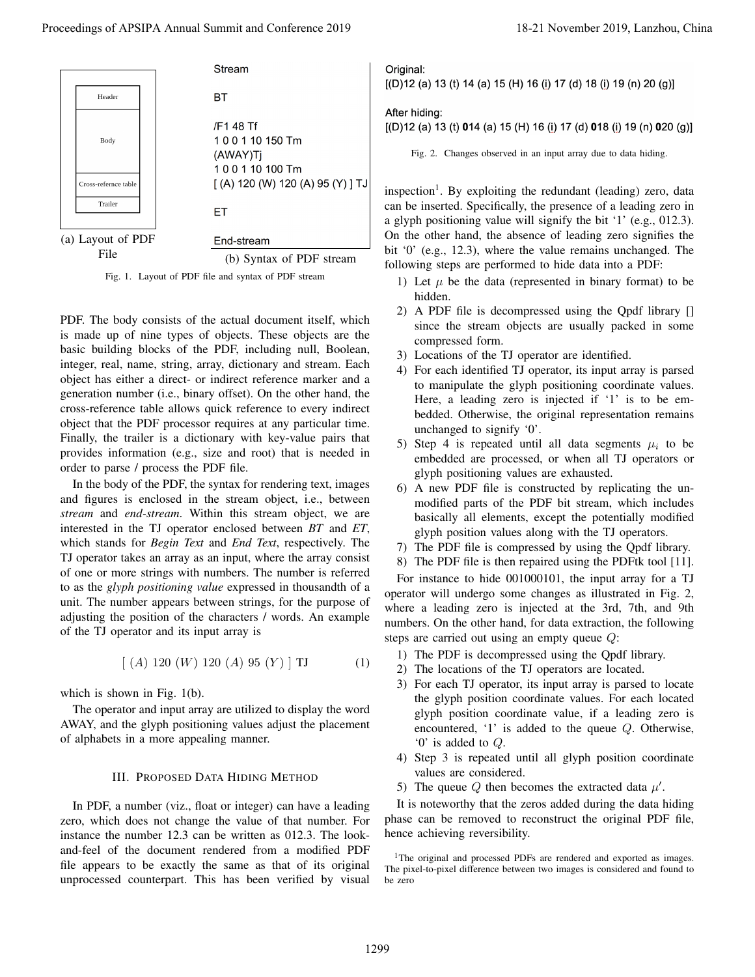

Fig. 1. Layout of PDF file and syntax of PDF stream

PDF. The body consists of the actual document itself, which is made up of nine types of objects. These objects are the basic building blocks of the PDF, including null, Boolean, integer, real, name, string, array, dictionary and stream. Each object has either a direct- or indirect reference marker and a generation number (i.e., binary offset). On the other hand, the cross-reference table allows quick reference to every indirect object that the PDF processor requires at any particular time. Finally, the trailer is a dictionary with key-value pairs that provides information (e.g., size and root) that is needed in order to parse / process the PDF file.

In the body of the PDF, the syntax for rendering text, images and figures is enclosed in the stream object, i.e., between *stream* and *end-stream*. Within this stream object, we are interested in the TJ operator enclosed between *BT* and *ET*, which stands for *Begin Text* and *End Text*, respectively. The TJ operator takes an array as an input, where the array consist of one or more strings with numbers. The number is referred to as the *glyph positioning value* expressed in thousandth of a unit. The number appears between strings, for the purpose of adjusting the position of the characters / words. An example of the TJ operator and its input array is

$$
[(A) 120 (W) 120 (A) 95 (Y)]
$$
 TJ (1)

which is shown in Fig. 1(b).

The operator and input array are utilized to display the word AWAY, and the glyph positioning values adjust the placement of alphabets in a more appealing manner.

## III. PROPOSED DATA HIDING METHOD

In PDF, a number (viz., float or integer) can have a leading zero, which does not change the value of that number. For instance the number 12.3 can be written as 012.3. The lookand-feel of the document rendered from a modified PDF file appears to be exactly the same as that of its original unprocessed counterpart. This has been verified by visual

Fig. 2. Changes observed in an input array due to data hiding.

inspection<sup>1</sup>. By exploiting the redundant (leading) zero, data can be inserted. Specifically, the presence of a leading zero in a glyph positioning value will signify the bit '1' (e.g., 012.3). On the other hand, the absence of leading zero signifies the bit '0' (e.g., 12.3), where the value remains unchanged. The following steps are performed to hide data into a PDF:

- 1) Let  $\mu$  be the data (represented in binary format) to be hidden.
- 2) A PDF file is decompressed using the Qpdf library [] since the stream objects are usually packed in some compressed form.
- 3) Locations of the TJ operator are identified.
- 4) For each identified TJ operator, its input array is parsed to manipulate the glyph positioning coordinate values. Here, a leading zero is injected if '1' is to be embedded. Otherwise, the original representation remains unchanged to signify '0'.
- 5) Step 4 is repeated until all data segments  $\mu_i$  to be embedded are processed, or when all TJ operators or glyph positioning values are exhausted.
- 6) A new PDF file is constructed by replicating the unmodified parts of the PDF bit stream, which includes basically all elements, except the potentially modified glyph position values along with the TJ operators.
- 7) The PDF file is compressed by using the Qpdf library.
- 8) The PDF file is then repaired using the PDFtk tool [11].

For instance to hide 001000101, the input array for a TJ operator will undergo some changes as illustrated in Fig. 2, where a leading zero is injected at the 3rd, 7th, and 9th numbers. On the other hand, for data extraction, the following steps are carried out using an empty queue Q:

- 1) The PDF is decompressed using the Qpdf library.
- 2) The locations of the TJ operators are located.
- 3) For each TJ operator, its input array is parsed to locate the glyph position coordinate values. For each located glyph position coordinate value, if a leading zero is encountered, '1' is added to the queue Q. Otherwise,  $\ddot{\text{o}}$  is added to  $Q$ .
- 4) Step 3 is repeated until all glyph position coordinate values are considered.
- 5) The queue Q then becomes the extracted data  $\mu'$ .

It is noteworthy that the zeros added during the data hiding phase can be removed to reconstruct the original PDF file, hence achieving reversibility.

<sup>1</sup>The original and processed PDFs are rendered and exported as images. The pixel-to-pixel difference between two images is considered and found to be zero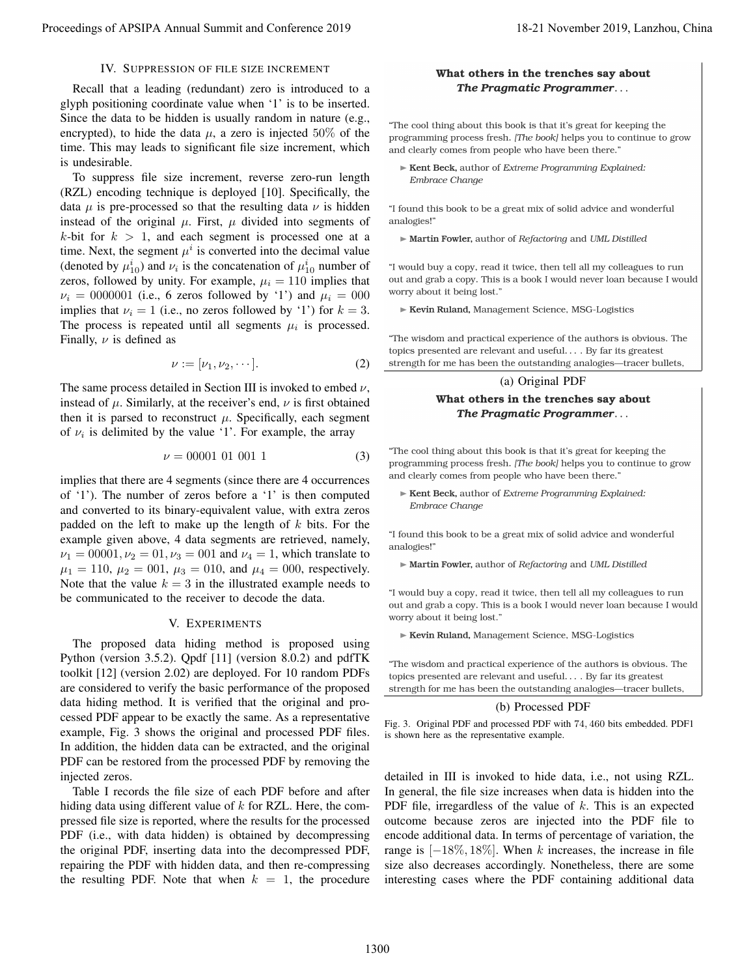# IV. SUPPRESSION OF FILE SIZE INCREMENT

Recall that a leading (redundant) zero is introduced to a glyph positioning coordinate value when '1' is to be inserted. Since the data to be hidden is usually random in nature (e.g., encrypted), to hide the data  $\mu$ , a zero is injected 50% of the time. This may leads to significant file size increment, which is undesirable.

To suppress file size increment, reverse zero-run length (RZL) encoding technique is deployed [10]. Specifically, the data  $\mu$  is pre-processed so that the resulting data  $\nu$  is hidden instead of the original  $\mu$ . First,  $\mu$  divided into segments of k-bit for  $k > 1$ , and each segment is processed one at a time. Next, the segment  $\mu^{i}$  is converted into the decimal value (denoted by  $\mu_{10}^i$ ) and  $\nu_i$  is the concatenation of  $\mu_{10}^i$  number of zeros, followed by unity. For example,  $\mu_i = 110$  implies that  $\nu_i = 0000001$  (i.e., 6 zeros followed by '1') and  $\mu_i = 000$ implies that  $\nu_i = 1$  (i.e., no zeros followed by '1') for  $k = 3$ . The process is repeated until all segments  $\mu_i$  is processed. Finally,  $\nu$  is defined as Proceedings of APSIPA Annual Summit and The Consensus Conference 2019. The Frequencial Summit and Conference 2019 18-21 November 2019 18-21 November 2019 18-21 November 2019 18-21 November 2019 18-21 November 2019 18-21 N

$$
\nu := [\nu_1, \nu_2, \cdots]. \tag{2}
$$

The same process detailed in Section III is invoked to embed  $\nu$ , instead of  $\mu$ . Similarly, at the receiver's end,  $\nu$  is first obtained then it is parsed to reconstruct  $\mu$ . Specifically, each segment of  $\nu_i$  is delimited by the value '1'. For example, the array

$$
\nu = 00001 \ 01 \ 001 \ 1 \tag{3}
$$

implies that there are 4 segments (since there are 4 occurrences of '1'). The number of zeros before a '1' is then computed and converted to its binary-equivalent value, with extra zeros padded on the left to make up the length of  $k$  bits. For the example given above, 4 data segments are retrieved, namely,  $\nu_1 = 00001, \nu_2 = 01, \nu_3 = 001$  and  $\nu_4 = 1$ , which translate to  $\mu_1 = 110$ ,  $\mu_2 = 001$ ,  $\mu_3 = 010$ , and  $\mu_4 = 000$ , respectively. Note that the value  $k = 3$  in the illustrated example needs to be communicated to the receiver to decode the data.

### V. EXPERIMENTS

The proposed data hiding method is proposed using Python (version 3.5.2). Qpdf [11] (version 8.0.2) and pdfTK toolkit [12] (version 2.02) are deployed. For 10 random PDFs are considered to verify the basic performance of the proposed data hiding method. It is verified that the original and processed PDF appear to be exactly the same. As a representative example, Fig. 3 shows the original and processed PDF files. In addition, the hidden data can be extracted, and the original PDF can be restored from the processed PDF by removing the injected zeros.

Table I records the file size of each PDF before and after hiding data using different value of k for RZL. Here, the compressed file size is reported, where the results for the processed PDF (i.e., with data hidden) is obtained by decompressing the original PDF, inserting data into the decompressed PDF, repairing the PDF with hidden data, and then re-compressing the resulting PDF. Note that when  $k = 1$ , the procedure

### (a) Original PDF

### (b) Processed PDF

Fig. 3. Original PDF and processed PDF with 74, 460 bits embedded. PDF1 is shown here as the representative example.

detailed in III is invoked to hide data, i.e., not using RZL. In general, the file size increases when data is hidden into the PDF file, irregardless of the value of  $k$ . This is an expected outcome because zeros are injected into the PDF file to encode additional data. In terms of percentage of variation, the range is  $[-18\%, 18\%]$ . When k increases, the increase in file size also decreases accordingly. Nonetheless, there are some interesting cases where the PDF containing additional data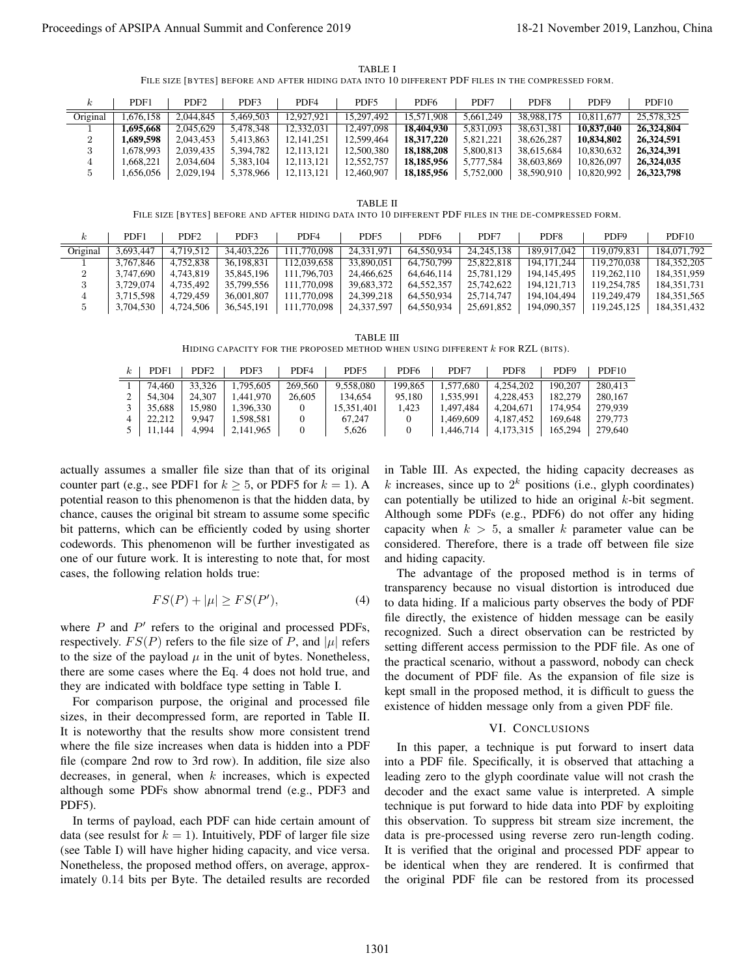TABLE I FILE SIZE [BYTES] BEFORE AND AFTER HIDING DATA INTO 10 DIFFERENT PDF FILES IN THE COMPRESSED FORM.

| ĸ        | PDF1      | PDF <sub>2</sub> | PDF3      | PDF4       | PDF <sub>5</sub> | PDF <sub>6</sub>        | PDF7      | PDF <sub>8</sub> | PDF9       | PDF10      |
|----------|-----------|------------------|-----------|------------|------------------|-------------------------|-----------|------------------|------------|------------|
| Original | .676.158  | 2.044.845        | 5.469.503 | 12.927.921 | 15.297.492       | $15,57\overline{1,908}$ | 5.661.249 | 38.988.175       | 10.811.677 | 25.578.325 |
|          | 1.695.668 | 2.045.629        | 5.478.348 | 12.332.031 | 12.497.098       | 18.404.930              | 5.831.093 | 38.631.381       | 10.837,040 | 26,324,804 |
| ີ        | 1.689.598 | 2.043.453        | 5.413.863 | 12.141.251 | 12.599.464       | 18,317,220              | 5.821.221 | 38,626,287       | 10.834.802 | 26,324,591 |
|          | 1.678.993 | 2.039.435        | 5.394.782 | 12.113.121 | 12.500.380       | 18,188,208              | 5,800,813 | 38.615.684       | 10.830.632 | 26,324,391 |
|          | .668.221  | 2.034.604        | 5.383.104 | 12.113.121 | 12.552.757       | 18,185,956              | 5.777.584 | 38,603,869       | 10.826.097 | 26,324,035 |
|          | 1.656.056 | 2.029.194        | 5.378.966 | 12.113.121 | 12.460.907       | 18,185,956              | 5.752,000 | 38,590,910       | 10.820.992 | 26,323,798 |

TABLE II FILE SIZE [BYTES] BEFORE AND AFTER HIDING DATA INTO 10 DIFFERENT PDF FILES IN THE DE-COMPRESSED FORM.

|                         |                               |                  |                                           | FILE SIZE [BYTES] BEFORE AND AFTER HIDING DATA INTO 10 DIFFERENT PDF FILES IN THE COMPRESSED FORM.                                                                                                                                                                           |                          | TABLE I                  |                                                                                                                                                                                                                                                                   |                        |                        |                          |                                 |                                                          |                          |                      |
|-------------------------|-------------------------------|------------------|-------------------------------------------|------------------------------------------------------------------------------------------------------------------------------------------------------------------------------------------------------------------------------------------------------------------------------|--------------------------|--------------------------|-------------------------------------------------------------------------------------------------------------------------------------------------------------------------------------------------------------------------------------------------------------------|------------------------|------------------------|--------------------------|---------------------------------|----------------------------------------------------------|--------------------------|----------------------|
| $\boldsymbol{k}$        | PDF1                          |                  | PDF <sub>2</sub>                          | PDF3                                                                                                                                                                                                                                                                         | PDF4                     | PDF5                     | PDF <sub>6</sub>                                                                                                                                                                                                                                                  |                        | PDF7                   | PDF8                     |                                 | PDF9                                                     |                          | PDF10                |
| Original                | 1,676,158                     |                  | 2,044,845                                 | 5,469,503                                                                                                                                                                                                                                                                    | 12,927,921               | 15,297,492               | 15,571,908                                                                                                                                                                                                                                                        |                        | 5,661,249              | 38,988,175               |                                 | 10,811,677                                               |                          | 25,578,325           |
| 1                       | 1,695,668                     |                  | 2,045,629                                 | 5,478,348                                                                                                                                                                                                                                                                    | 12,332,031               | 12,497,098               | 18,404,930                                                                                                                                                                                                                                                        |                        | 5,831,093              | 38,631,381               |                                 | 10,837,040                                               |                          | 26,324,804           |
| $\,2$                   | 1,689,598                     |                  | 2,043,453                                 | 5,413,863                                                                                                                                                                                                                                                                    | 12, 141, 251             | 12,599,464               | 18,317,220                                                                                                                                                                                                                                                        |                        | 5,821,221              | 38,626,287               |                                 | 10,834,802                                               | 26,324,591<br>26,324,391 |                      |
| $\,3$<br>$\overline{4}$ | 1,678,993<br>1,668,221        |                  | 2,039,435<br>2,034,604                    | 5,394,782<br>5,383,104                                                                                                                                                                                                                                                       | 12,113,121<br>12,113,121 | 12,500,380<br>12,552,757 | 18,188,208<br>18,185,956                                                                                                                                                                                                                                          |                        | 5,800,813<br>5,777,584 | 38,615,684<br>38,603,869 |                                 | 10,830,632<br>10,826,097                                 |                          | 26,324,035           |
| $\bf 5$                 | 1,656,056                     |                  | 2,029,194                                 | 5,378,966                                                                                                                                                                                                                                                                    | 12,113,121               | 12,460,907               | 18, 185, 956                                                                                                                                                                                                                                                      |                        | 5,752,000              | 38,590,910               |                                 | 10,820,992                                               |                          | 26,323,798           |
|                         |                               |                  |                                           |                                                                                                                                                                                                                                                                              |                          | <b>TABLE II</b>          |                                                                                                                                                                                                                                                                   |                        |                        |                          |                                 |                                                          |                          |                      |
|                         |                               |                  |                                           | FILE SIZE [BYTES] BEFORE AND AFTER HIDING DATA INTO 10 DIFFERENT PDF FILES IN THE DE-COMPRESSED FORM.                                                                                                                                                                        |                          |                          |                                                                                                                                                                                                                                                                   |                        |                        |                          |                                 |                                                          |                          |                      |
| $\boldsymbol{k}$        | PDF1<br>3,693,447             |                  | PDF <sub>2</sub><br>4,719,512             | PDF3<br>34,403,226                                                                                                                                                                                                                                                           | PDF4<br>111,770,098      | PDF5<br>24,331,971       | PDF <sub>6</sub><br>64,550,934                                                                                                                                                                                                                                    |                        | PDF7<br>24, 245, 138   |                          | PDF <sub>8</sub><br>189,917,042 | PDF9<br>119,079,831                                      |                          | PDF10<br>184,071,792 |
| Original                | 3,767,846                     |                  | 4,752,838                                 | 36,198,831                                                                                                                                                                                                                                                                   | 112,039,658              | 33,890,051               | 64,750,799                                                                                                                                                                                                                                                        |                        | 25,822,818             |                          | 194, 171, 244                   | 119,270,038                                              |                          | 184, 352, 205        |
| $\,2$                   | 3,747,690                     |                  | 4,743,819                                 | 35,845,196                                                                                                                                                                                                                                                                   | 111,796,703              | 24,466,625               | 64,646,114                                                                                                                                                                                                                                                        |                        | 25,781,129             |                          | 194,145,495                     | 119,262,110                                              |                          | 184,351,959          |
| 3                       | 3,729,074                     |                  | 4,735,492                                 | 35,799,556                                                                                                                                                                                                                                                                   | 111,770,098              | 39,683,372               | 64,552,357                                                                                                                                                                                                                                                        |                        | 25,742,622             |                          | 194, 121, 713                   | 119,254,785                                              |                          | 184, 351, 731        |
| $\overline{4}$          | 3,715,598                     |                  | 4,729,459                                 | 36,001,807                                                                                                                                                                                                                                                                   | 111,770,098              | 24,399,218               | 64,550,934                                                                                                                                                                                                                                                        |                        | 25,714,747             |                          | 194, 104, 494                   | 119,249,479                                              |                          | 184, 351, 565        |
| 5                       | 3,704,530                     |                  | 4,724,506                                 | 36,545,191                                                                                                                                                                                                                                                                   | 111,770,098              | 24,337,597               | 64,550,934                                                                                                                                                                                                                                                        |                        | 25,691,852             |                          | 194,090,357                     | 119,245,125                                              |                          | 184, 351, 432        |
|                         |                               |                  |                                           | HIDING CAPACITY FOR THE PROPOSED METHOD WHEN USING DIFFERENT $k$ for RZL (BITS).                                                                                                                                                                                             |                          | <b>TABLE III</b>         |                                                                                                                                                                                                                                                                   |                        |                        |                          |                                 |                                                          |                          |                      |
|                         | $\boldsymbol{k}$              | PDF1             | PDF <sub>2</sub>                          | PDF3                                                                                                                                                                                                                                                                         | PDF4                     | PDF5                     | PDF <sub>6</sub>                                                                                                                                                                                                                                                  | PDF7                   | PDF8                   |                          | PDF9                            | PDF10                                                    |                          |                      |
|                         | -1                            | 74,460           | 33,326                                    | 1,795,605                                                                                                                                                                                                                                                                    | 269,560                  | 9,558,080                | 199,865                                                                                                                                                                                                                                                           | 1,577,680              | 4,254,202              |                          | 190,207                         | 280,413                                                  |                          |                      |
|                         | $\overline{\mathbf{c}}$       | 54,304           | 24,307                                    | 1,441,970                                                                                                                                                                                                                                                                    | 26,605                   | 134,654                  | 95,180                                                                                                                                                                                                                                                            | 1,535,991              | 4,228,453              |                          | 182,279                         | 280,167                                                  |                          |                      |
|                         | 3<br>$\overline{\mathcal{A}}$ | 35,688<br>22,212 | 15,980<br>9,947                           | 1,396,330<br>1,598,581                                                                                                                                                                                                                                                       | 0<br>$\boldsymbol{0}$    | 15,351,401<br>67,247     | 1,423<br>0                                                                                                                                                                                                                                                        | 1,497,484<br>1,469,609 | 4,204,671<br>4,187,452 |                          | 174,954<br>169,648              | 279,939<br>279,773                                       |                          |                      |
|                         |                               |                  |                                           | 2,141,965                                                                                                                                                                                                                                                                    | $\mathbf{0}$             | 5,626                    | $\boldsymbol{0}$                                                                                                                                                                                                                                                  | 1,446,714              | 4,173,315              |                          | 165,294                         | 279,640                                                  |                          |                      |
|                         | 5                             | 11,144           | 4,994                                     | actually assumes a smaller file size than that of its original<br>counter part (e.g., see PDF1 for $k \ge 5$ , or PDF5 for $k = 1$ ). A<br>potential reason to this phenomenon is that the hidden data, by<br>chance, causes the original bit stream to assume some specific |                          |                          | in Table III. As expected, the hiding capacity decreases as<br>k increases, since up to $2^k$ positions (i.e., glyph coordinates)<br>can potentially be utilized to hide an original $k$ -bit segment.<br>Although some PDFs (e.g., PDF6) do not offer any hiding |                        |                        |                          |                                 |                                                          |                          |                      |
|                         |                               |                  |                                           | bit patterns, which can be efficiently coded by using shorter<br>codewords. This phenomenon will be further investigated as<br>one of our future work. It is interesting to note that, for most                                                                              |                          |                          | capacity when $k > 5$ , a smaller k parameter value can be<br>considered. Therefore, there is a trade off between file size<br>and hiding capacity.                                                                                                               |                        |                        |                          |                                 |                                                          |                          |                      |
|                         |                               |                  | cases, the following relation holds true: |                                                                                                                                                                                                                                                                              |                          |                          | transparency because no visual distortion is introduced due                                                                                                                                                                                                       |                        |                        |                          |                                 | The advantage of the proposed method is in terms of      |                          |                      |
|                         |                               |                  |                                           | $FS(P) +  \mu  \geq FS(P'),$                                                                                                                                                                                                                                                 |                          | (4)                      | to data hiding. If a malicious party observes the body of PDF                                                                                                                                                                                                     |                        |                        |                          |                                 |                                                          |                          |                      |
|                         |                               |                  |                                           | where $P$ and $P'$ refers to the original and processed PDFs,                                                                                                                                                                                                                |                          |                          | file directly, the existence of hidden message can be easily                                                                                                                                                                                                      |                        |                        |                          |                                 |                                                          |                          |                      |
|                         |                               |                  |                                           | respectively. $FS(P)$ refers to the file size of P, and  µ  refers                                                                                                                                                                                                           |                          |                          | recognized. Such a direct observation can be restricted by                                                                                                                                                                                                        |                        |                        |                          |                                 |                                                          |                          |                      |
|                         |                               |                  |                                           | to the size of the payload $\mu$ in the unit of bytes. Nonetheless,                                                                                                                                                                                                          |                          |                          | setting different access permission to the PDF file. As one of                                                                                                                                                                                                    |                        |                        |                          |                                 |                                                          |                          |                      |
|                         |                               |                  |                                           | there are some cases where the Eq. 4 does not hold true, and                                                                                                                                                                                                                 |                          |                          | the practical scenario, without a password, nobody can check                                                                                                                                                                                                      |                        |                        |                          |                                 |                                                          |                          |                      |
|                         |                               |                  |                                           | they are indicated with boldface type setting in Table I.                                                                                                                                                                                                                    |                          |                          | the document of PDF file. As the expansion of file size is                                                                                                                                                                                                        |                        |                        |                          |                                 |                                                          |                          |                      |
|                         |                               |                  |                                           | For comparison purpose, the original and processed file                                                                                                                                                                                                                      |                          |                          | kept small in the proposed method, it is difficult to guess the                                                                                                                                                                                                   |                        |                        |                          |                                 |                                                          |                          |                      |
|                         |                               |                  |                                           | sizes, in their decompressed form, are reported in Table II.                                                                                                                                                                                                                 |                          |                          | existence of hidden message only from a given PDF file.                                                                                                                                                                                                           |                        |                        |                          |                                 |                                                          |                          |                      |
|                         |                               |                  |                                           |                                                                                                                                                                                                                                                                              |                          |                          |                                                                                                                                                                                                                                                                   |                        |                        |                          | VI. CONCLUSIONS                 |                                                          |                          |                      |
|                         |                               |                  |                                           | It is noteworthy that the results show more consistent trend                                                                                                                                                                                                                 |                          |                          |                                                                                                                                                                                                                                                                   |                        |                        |                          |                                 |                                                          |                          |                      |
|                         |                               |                  |                                           | where the file size increases when data is hidden into a PDF                                                                                                                                                                                                                 |                          |                          |                                                                                                                                                                                                                                                                   |                        |                        |                          |                                 | In this paper, a technique is put forward to insert data |                          |                      |
|                         |                               |                  |                                           | file (compare 2nd row to 3rd row). In addition, file size also                                                                                                                                                                                                               |                          |                          | into a PDF file. Specifically, it is observed that attaching a                                                                                                                                                                                                    |                        |                        |                          |                                 |                                                          |                          |                      |
|                         |                               |                  |                                           | decreases, in general, when $k$ increases, which is expected                                                                                                                                                                                                                 |                          |                          | leading zero to the glyph coordinate value will not crash the                                                                                                                                                                                                     |                        |                        |                          |                                 |                                                          |                          |                      |
|                         |                               |                  |                                           | although some PDFs show abnormal trend (e.g., PDF3 and                                                                                                                                                                                                                       |                          |                          | decoder and the exact same value is interpreted. A simple                                                                                                                                                                                                         |                        |                        |                          |                                 |                                                          |                          |                      |
| PDF5).                  |                               |                  |                                           |                                                                                                                                                                                                                                                                              |                          |                          | technique is put forward to hide data into PDF by exploiting                                                                                                                                                                                                      |                        |                        |                          |                                 |                                                          |                          |                      |
|                         |                               |                  |                                           | In terms of payload, each PDF can hide certain amount of                                                                                                                                                                                                                     |                          |                          | this observation. To suppress bit stream size increment, the                                                                                                                                                                                                      |                        |                        |                          |                                 |                                                          |                          |                      |
|                         |                               |                  |                                           | data (see resulst for $k = 1$ ). Intuitively, PDF of larger file size                                                                                                                                                                                                        |                          |                          | data is pre-processed using reverse zero run-length coding.                                                                                                                                                                                                       |                        |                        |                          |                                 |                                                          |                          |                      |
|                         |                               |                  |                                           | (see Table I) will have higher hiding capacity, and vice versa.                                                                                                                                                                                                              |                          |                          | It is verified that the original and processed PDF appear to                                                                                                                                                                                                      |                        |                        |                          |                                 |                                                          |                          |                      |
|                         |                               |                  |                                           | Nonetheless, the proposed method offers, on average, approx-                                                                                                                                                                                                                 |                          |                          | be identical when they are rendered. It is confirmed that                                                                                                                                                                                                         |                        |                        |                          |                                 |                                                          |                          |                      |
|                         |                               |                  |                                           | imately 0.14 bits per Byte. The detailed results are recorded                                                                                                                                                                                                                |                          |                          | the original PDF file can be restored from its processed                                                                                                                                                                                                          |                        |                        |                          |                                 |                                                          |                          |                      |

TABLE III HIDING CAPACITY FOR THE PROPOSED METHOD WHEN USING DIFFERENT  $k$  for RZL (BITS).

| k. | PDF1   | PDF <sub>2</sub> | PDF3      | PDF4    | PDF5       | PDF <sub>6</sub> | PDF7      | PDF <sub>8</sub> | PDF9    | PDF <sub>10</sub> |
|----|--------|------------------|-----------|---------|------------|------------------|-----------|------------------|---------|-------------------|
|    | 74.460 | 33,326           | 1.795.605 | 269,560 | 9.558.080  | 199.865          | .577.680  | 4.254.202        | 190,207 | 280.413           |
|    | 54.304 | 24.307           | .441.970  | 26,605  | 134.654    | 95.180           | 1.535.991 | 4.228.453        | 182,279 | 280,167           |
|    | 35.688 | 15.980           | .396,330  | 0       | 15.351.401 | 1.423            | .497.484  | 4.204.671        | 174.954 | 279.939           |
|    | 22.212 | 9.947            | .598,581  |         | 67.247     |                  | .469.609  | 4.187.452        | 169.648 | 279,773           |
|    | 11.144 | 4.994            | 2,141,965 |         | 5.626      |                  | 1.446.714 | 4,173,315        | 165.294 | 279,640           |

$$
FS(P) + |\mu| \ge FS(P'),\tag{4}
$$

### VI. CONCLUSIONS